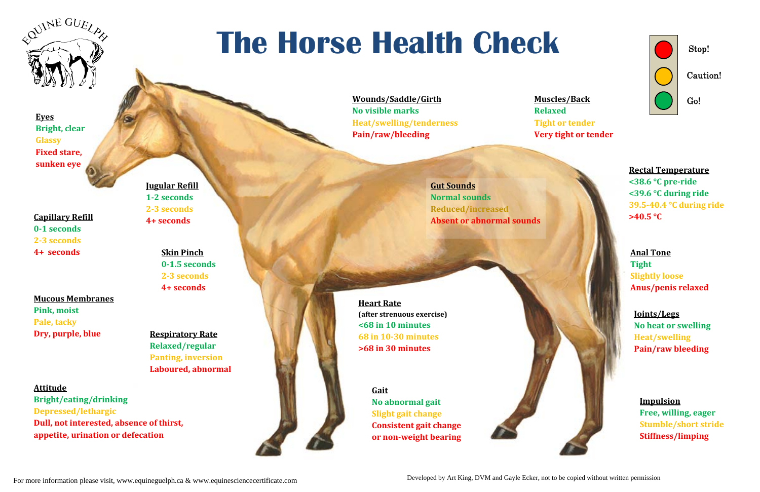Stop!

Caution!

Go!

**Capillary Refill 01 seconds 23 seconds 4+ seconds**

**Mucous Membranes Pink, moist Pale, tacky Dry, purple, blue**

> **GaitNo abnormal gait Slight gait change Consistent gait change or nonweight bearing**



**Eyes Bright, clear Glassy Fixed stare, sunken eye**

For more information please visit, www.equineguelph.ca & www.equinesciencecertificate.com

## **The Horse Health Check**

**Attitude Bright/eating/drinking Depressed/lethargic Dull, not interested, absence of thirst, appetite, urination or defecation**

**Respiratory Rate Relaxed/regular Panting, inversion Laboured, abnormal** **Gut Sounds**

**Normal soundsReduced/increased Absent or abnormal sounds**

**Heart Rate (after strenuous exercise) <68 in 10 minutes 68 in 1030 minutes >68 in 30 minutes**

**Wounds/Saddle/Girth No visible marks Heat/swelling/tenderness Pain/raw/bleeding**

**Relaxed**

**Muscles/Back Tight or tender Very tight or tender**



**Rectal Temperature <38.6 °C preride <39.6 °C during ride 39.540.4 °C during ride >40.5 °C**

**Anal ToneTight Slightly loose Anus/penis relaxed**

**Joints/Legs No heat or swelling Heat/swelling Pain/raw bleeding**

**Impulsion Free, willing, eager Stumble/short stride Stiffness/limping**



**Skin Pinch**

**01.5 seconds 23 seconds 4+ seconds**

**Jugular Refill**

**12 seconds 23 seconds 4+ seconds**